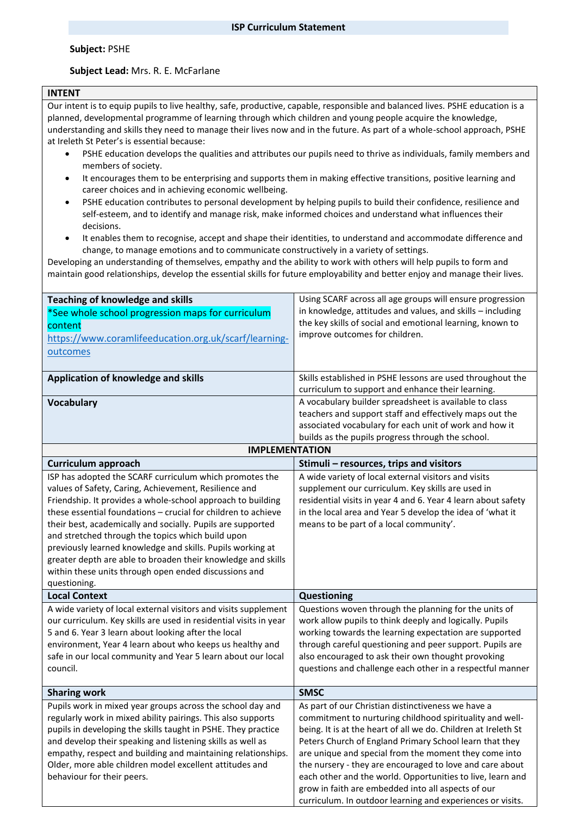#### **Subject:** PSHE

## **Subject Lead:** Mrs. R. E. McFarlane

## **INTENT**

Our intent is to equip pupils to live healthy, safe, productive, capable, responsible and balanced lives. PSHE education is a planned, developmental programme of learning through which children and young people acquire the knowledge, understanding and skills they need to manage their lives now and in the future. As part of a whole-school approach, PSHE at Ireleth St Peter's is essential because:

- PSHE education develops the qualities and attributes our pupils need to thrive as individuals, family members and members of society.
- It encourages them to be enterprising and supports them in making effective transitions, positive learning and career choices and in achieving economic wellbeing.
- PSHE education contributes to personal development by helping pupils to build their confidence, resilience and self-esteem, and to identify and manage risk, make informed choices and understand what influences their decisions.
- It enables them to recognise, accept and shape their identities, to understand and accommodate difference and change, to manage emotions and to communicate constructively in a variety of settings.

Developing an understanding of themselves, empathy and the ability to work with others will help pupils to form and maintain good relationships, develop the essential skills for future employability and better enjoy and manage their lives.

| <b>Teaching of knowledge and skills</b><br>*See whole school progression maps for curriculum<br>content<br>https://www.coramlifeeducation.org.uk/scarf/learning-<br>outcomes                                                                                                                                                                                                                                                                                                                                                                                                | Using SCARF across all age groups will ensure progression<br>in knowledge, attitudes and values, and skills - including<br>the key skills of social and emotional learning, known to<br>improve outcomes for children.                                                                                                                                                                                                                                                                                                                             |
|-----------------------------------------------------------------------------------------------------------------------------------------------------------------------------------------------------------------------------------------------------------------------------------------------------------------------------------------------------------------------------------------------------------------------------------------------------------------------------------------------------------------------------------------------------------------------------|----------------------------------------------------------------------------------------------------------------------------------------------------------------------------------------------------------------------------------------------------------------------------------------------------------------------------------------------------------------------------------------------------------------------------------------------------------------------------------------------------------------------------------------------------|
| Application of knowledge and skills                                                                                                                                                                                                                                                                                                                                                                                                                                                                                                                                         | Skills established in PSHE lessons are used throughout the<br>curriculum to support and enhance their learning.                                                                                                                                                                                                                                                                                                                                                                                                                                    |
| <b>Vocabulary</b>                                                                                                                                                                                                                                                                                                                                                                                                                                                                                                                                                           | A vocabulary builder spreadsheet is available to class<br>teachers and support staff and effectively maps out the<br>associated vocabulary for each unit of work and how it<br>builds as the pupils progress through the school.                                                                                                                                                                                                                                                                                                                   |
| <b>IMPLEMENTATION</b>                                                                                                                                                                                                                                                                                                                                                                                                                                                                                                                                                       |                                                                                                                                                                                                                                                                                                                                                                                                                                                                                                                                                    |
| <b>Curriculum approach</b>                                                                                                                                                                                                                                                                                                                                                                                                                                                                                                                                                  | Stimuli - resources, trips and visitors                                                                                                                                                                                                                                                                                                                                                                                                                                                                                                            |
| ISP has adopted the SCARF curriculum which promotes the<br>values of Safety, Caring, Achievement, Resilience and<br>Friendship. It provides a whole-school approach to building<br>these essential foundations - crucial for children to achieve<br>their best, academically and socially. Pupils are supported<br>and stretched through the topics which build upon<br>previously learned knowledge and skills. Pupils working at<br>greater depth are able to broaden their knowledge and skills<br>within these units through open ended discussions and<br>questioning. | A wide variety of local external visitors and visits<br>supplement our curriculum. Key skills are used in<br>residential visits in year 4 and 6. Year 4 learn about safety<br>in the local area and Year 5 develop the idea of 'what it<br>means to be part of a local community'.                                                                                                                                                                                                                                                                 |
| <b>Local Context</b>                                                                                                                                                                                                                                                                                                                                                                                                                                                                                                                                                        | Questioning                                                                                                                                                                                                                                                                                                                                                                                                                                                                                                                                        |
| A wide variety of local external visitors and visits supplement<br>our curriculum. Key skills are used in residential visits in year<br>5 and 6. Year 3 learn about looking after the local<br>environment, Year 4 learn about who keeps us healthy and<br>safe in our local community and Year 5 learn about our local<br>council.                                                                                                                                                                                                                                         | Questions woven through the planning for the units of<br>work allow pupils to think deeply and logically. Pupils<br>working towards the learning expectation are supported<br>through careful questioning and peer support. Pupils are<br>also encouraged to ask their own thought provoking<br>questions and challenge each other in a respectful manner                                                                                                                                                                                          |
| <b>Sharing work</b>                                                                                                                                                                                                                                                                                                                                                                                                                                                                                                                                                         | <b>SMSC</b>                                                                                                                                                                                                                                                                                                                                                                                                                                                                                                                                        |
| Pupils work in mixed year groups across the school day and<br>regularly work in mixed ability pairings. This also supports<br>pupils in developing the skills taught in PSHE. They practice<br>and develop their speaking and listening skills as well as<br>empathy, respect and building and maintaining relationships.<br>Older, more able children model excellent attitudes and<br>behaviour for their peers.                                                                                                                                                          | As part of our Christian distinctiveness we have a<br>commitment to nurturing childhood spirituality and well-<br>being. It is at the heart of all we do. Children at Ireleth St<br>Peters Church of England Primary School learn that they<br>are unique and special from the moment they come into<br>the nursery - they are encouraged to love and care about<br>each other and the world. Opportunities to live, learn and<br>grow in faith are embedded into all aspects of our<br>curriculum. In outdoor learning and experiences or visits. |